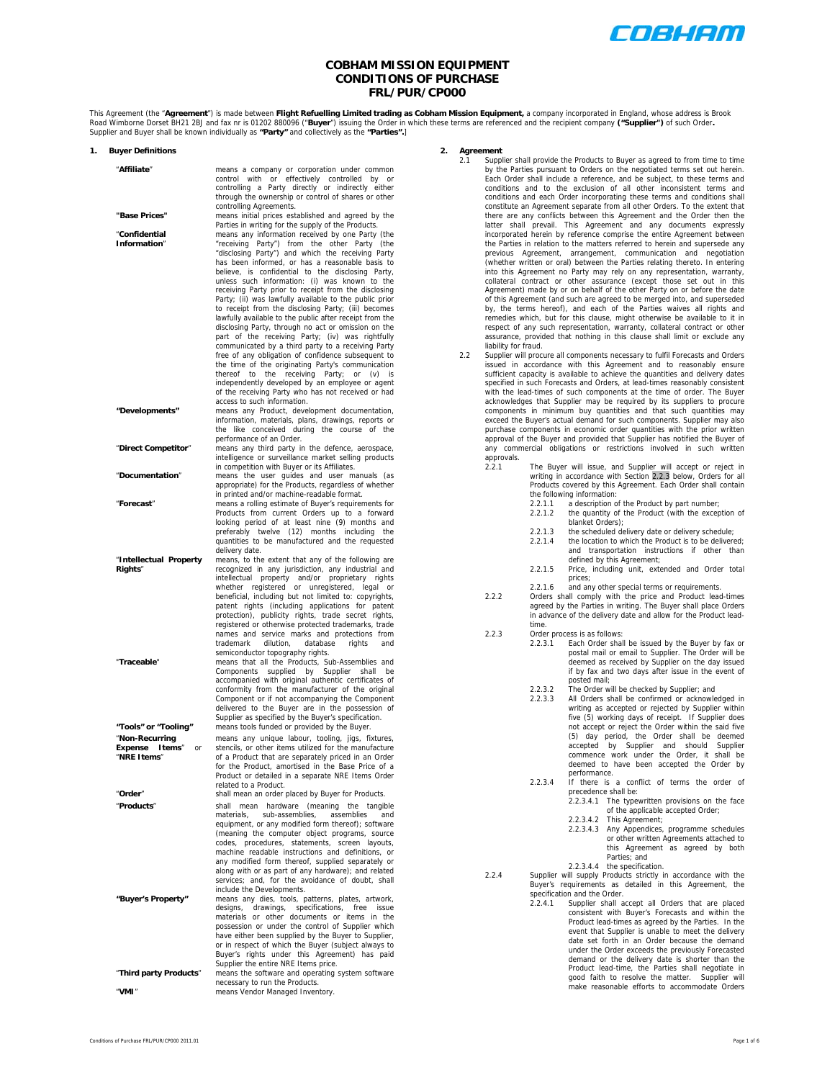

# **COBHAM MISSION EQUIPMENT CONDITIONS OF PURCHASE FRL/PUR/CP000**

This Agreement (the "**Agreement**") is made between **Flight Refuelling Limited trading as Cobham Mission Equipment,** a company incorporated in England, whose address is Brook<br>Road Wimborne Dorset BH21 2BJ and fax nr is 0120

| 1. | <b>Buyer Definitions</b>      |                                                                                                                |
|----|-------------------------------|----------------------------------------------------------------------------------------------------------------|
|    | "Affiliate"                   | means a company or corporation under common                                                                    |
|    |                               | control with or effectively controlled by or                                                                   |
|    |                               | controlling a Party directly or indirectly either                                                              |
|    |                               | through the ownership or control of shares or other<br>controlling Agreements.                                 |
|    | "Base Prices"                 | means initial prices established and agreed by the                                                             |
|    |                               | Parties in writing for the supply of the Products.                                                             |
|    | "Confidential<br>Information" | means any information received by one Party (the<br>"receiving Party") from the other Party (the               |
|    |                               | "disclosing Party") and which the receiving Party                                                              |
|    |                               | has been informed, or has a reasonable basis to                                                                |
|    |                               | believe, is confidential to the disclosing Party,<br>unless such information: (i) was known to the             |
|    |                               | receiving Party prior to receipt from the disclosing                                                           |
|    |                               | Party; (ii) was lawfully available to the public prior                                                         |
|    |                               | to receipt from the disclosing Party; (iii) becomes<br>lawfully available to the public after receipt from the |
|    |                               | disclosing Party, through no act or omission on the                                                            |
|    |                               | part of the receiving Party; (iv) was rightfully                                                               |
|    |                               | communicated by a third party to a receiving Party<br>free of any obligation of confidence subsequent to       |
|    |                               | the time of the originating Party's communication                                                              |
|    |                               | the receiving Party;<br>thereof<br>to<br>or<br>(v)<br>is                                                       |
|    |                               | independently developed by an employee or agent<br>of the receiving Party who has not received or had          |
|    |                               | access to such information.                                                                                    |
|    | "Developments"                | means any Product, development documentation,                                                                  |
|    |                               | information, materials, plans, drawings, reports or<br>the like conceived during the course of the             |
|    |                               | performance of an Order.                                                                                       |
|    | "Direct Competitor"           | means any third party in the defence, aerospace,<br>intelligence or surveillance market selling products       |
|    |                               | in competition with Buyer or its Affiliates.                                                                   |
|    | "Documentation"               | means the user guides and user manuals (as                                                                     |
|    |                               | appropriate) for the Products, regardless of whether<br>in printed and/or machine-readable format.             |
|    | "Forecast"                    | means a rolling estimate of Buyer's requirements for                                                           |
|    |                               | Products from current Orders up to a forward<br>looking period of at least nine (9) months and                 |
|    |                               | preferably twelve (12) months including the                                                                    |
|    |                               | quantities to be manufactured and the requested                                                                |
|    | "Intellectual Property        | delivery date.<br>means, to the extent that any of the following are                                           |
|    | Rights"                       | recognized in any jurisdiction, any industrial and                                                             |
|    |                               | intellectual property and/or proprietary rights<br>whether registered or unregistered, legal or                |
|    |                               | beneficial, including but not limited to: copyrights,                                                          |
|    |                               | patent rights (including applications for patent                                                               |
|    |                               | protection), publicity rights, trade secret rights,<br>registered or otherwise protected trademarks, trade     |
|    |                               | names and service marks and protections from                                                                   |
|    |                               | dilution,<br>database<br>trademark<br>rights<br>and                                                            |
|    | "Traceable"                   | semiconductor topography rights.<br>means that all the Products, Sub-Assemblies and                            |
|    |                               | Components supplied by Supplier<br>shall<br>be                                                                 |
|    |                               | accompanied with original authentic certificates of<br>conformity from the manufacturer of the original        |
|    |                               | Component or if not accompanying the Component                                                                 |
|    |                               | delivered to the Buyer are in the possession of                                                                |
|    | "Tools" or "Tooling"          | Supplier as specified by the Buyer's specification.<br>means tools funded or provided by the Buyer.            |
|    | "Non-Recurring                | means any unique labour, tooling, jigs, fixtures,                                                              |
|    | Expense Items" or             | stencils, or other items utilized for the manufacture                                                          |
|    | "NRE Items"                   | of a Product that are separately priced in an Order<br>for the Product, amortised in the Base Price of a       |
|    |                               | Product or detailed in a separate NRE Items Order                                                              |
|    | "Order"                       | related to a Product.                                                                                          |
|    | "Products"                    | shall mean an order placed by Buyer for Products.<br>(meaning<br>mean<br>hardware<br>the tangible<br>shall     |
|    |                               | materials,<br>sub-assemblies, assemblies and                                                                   |
|    |                               | equipment, or any modified form thereof); software<br>(meaning the computer object programs, source            |
|    |                               | codes, procedures, statements, screen layouts,                                                                 |
|    |                               | machine readable instructions and definitions, or                                                              |
|    |                               | any modified form thereof, supplied separately or<br>along with or as part of any hardware); and related       |
|    |                               | services; and, for the avoidance of doubt, shall                                                               |
|    | "Buyer's Property"            | include the Developments.<br>means any dies, tools, patterns, plates, artwork,                                 |
|    |                               | drawings,<br>specifications, free issue<br>designs,                                                            |
|    |                               | materials or other documents or items in the                                                                   |
|    |                               | possession or under the control of Supplier which<br>have either been supplied by the Buyer to Supplier,       |
|    |                               | or in respect of which the Buyer (subject always to                                                            |
|    |                               | Buyer's rights under this Agreement) has paid<br>Supplier the entire NRE Items price.                          |
|    | "Third party Products"        | means the software and operating system software                                                               |
|    |                               | necessary to run the Products.                                                                                 |
|    | "VMI"                         | means Vendor Managed Inventory                                                                                 |

# **2. Agreement**

- 2.1 Supplier shall provide the Products to Buyer as agreed to from time to time by the Parties pursuant to Orders on the negotiated terms set out herein. Each Order shall include a reference, and be subject, to these terms and conditions and to the exclusion of all other inconsistent terms and conditions and each Order incorporating these terms and conditions shall constitute an Agreement separate from all other Orders. To the extent that there are any conflicts between this Agreement and the Order then the latter shall prevail. This Agreement and any documents expressly incorporated herein by reference comprise the entire Agreement between the Parties in relation to the matters referred to herein and supersede any previous Agreement, arrangement, communication and negotiation (whether written or oral) between the Parties relating thereto. In entering into this Agreement no Party may rely on any representation, warranty, collateral contract or other assurance (except those set out in this Agreement) made by or on behalf of the other Party on or before the date of this Agreement (and such are agreed to be merged into, and superseded by, the terms hereof), and each of the Parties waives all rights and remedies which, but for this clause, might otherwise be available to it in respect of any such representation, warranty, collateral contract or other assurance, provided that nothing in this clause shall limit or exclude any liability for fraud.
- 2.2 Supplier will procure all components necessary to fulfil Forecasts and Orders issued in accordance with this Agreement and to reasonably ensure sufficient capacity is available to achieve the quantities and delivery dates specified in such Forecasts and Orders, at lead-times reasonably consistent with the lead-times of such components at the time of order. The Buyer acknowledges that Supplier may be required by its suppliers to procure components in minimum buy quantities and that such quantities may exceed the Buyer's actual demand for such components. Supplier may also purchase components in economic order quantities with the prior written approval of the Buyer and provided that Supplier has notified the Buyer of any commercial obligations or restrictions involved in such written approvals.<br>221
	- 2.2.1 The Buyer will issue, and Supplier will accept or reject in writing in accordance with Section 2.2.3 below, Orders for all Products covered by this Agreement. Each Order shall contain the following information:
		- 2.2.1.1 a description of the Product by part number; 2.2.1.2 the quantity of the Product (with the exception of blanket Orders);
		-
		- 2.2.1.3 the scheduled delivery date or delivery schedule;<br>2.2.1.4 the location to which the Product is to be delivery the location to which the Product is to be delivered; and transportation instructions if other than defined by this Agreement;
		- 2.2.1.5 Price, including unit, extended and Order total prices;
		- 2.2.1.6 and any other special terms or requirements.
	- 2.2.2 Orders shall comply with the price and Product lead-times agreed by the Parties in writing. The Buyer shall place Orders in advance of the delivery date and allow for the Product leadtime.
	- 2.2.3 Order process is as follows:
		- 2.2.3.1 Each Order shall be issued by the Buyer by fax or postal mail or email to Supplier. The Order will be deemed as received by Supplier on the day issued if by fax and two days after issue in the event of posted mail;
			- 2.2.3.2 The Order will be checked by Supplier; and
				- All Orders shall be confirmed or acknowledged in writing as accepted or rejected by Supplier within five (5) working days of receipt. If Supplier does not accept or reject the Order within the said five (5) day period, the Order shall be deemed accepted by Supplier and should Supplier commence work under the Order, it shall be deemed to have been accepted the Order by
			- performance. 2.2.3.4 If there is a conflict of terms the order of precedence shall be:
				- 2.2.3.4.1 The typewritten provisions on the face of the applicable accepted Order;
				- 2.2.3.4.2 This Agreement; 2.2.3.4.3 Any Appendices, programme schedules or other written Agreements attached to this Agreement as agreed by both
					- Parties; and
				-
	- 2.2.3.4.4 the specification.<br>2.2.4 Supplier will supply Products strictly in accordance with the<br>Buyer's requirements as detailed in this Agreement, the specification and the Order.<br>2.2.4.1 Supplier shall a
		- Supplier shall accept all Orders that are placed consistent with Buyer's Forecasts and within the Product lead-times as agreed by the Parties. In the event that Supplier is unable to meet the delivery date set forth in an Order because the demand under the Order exceeds the previously Forecasted demand or the delivery date is shorter than the Product lead-time, the Parties shall negotiate in good faith to resolve the matter. Supplier will make reasonable efforts to accommodate Orders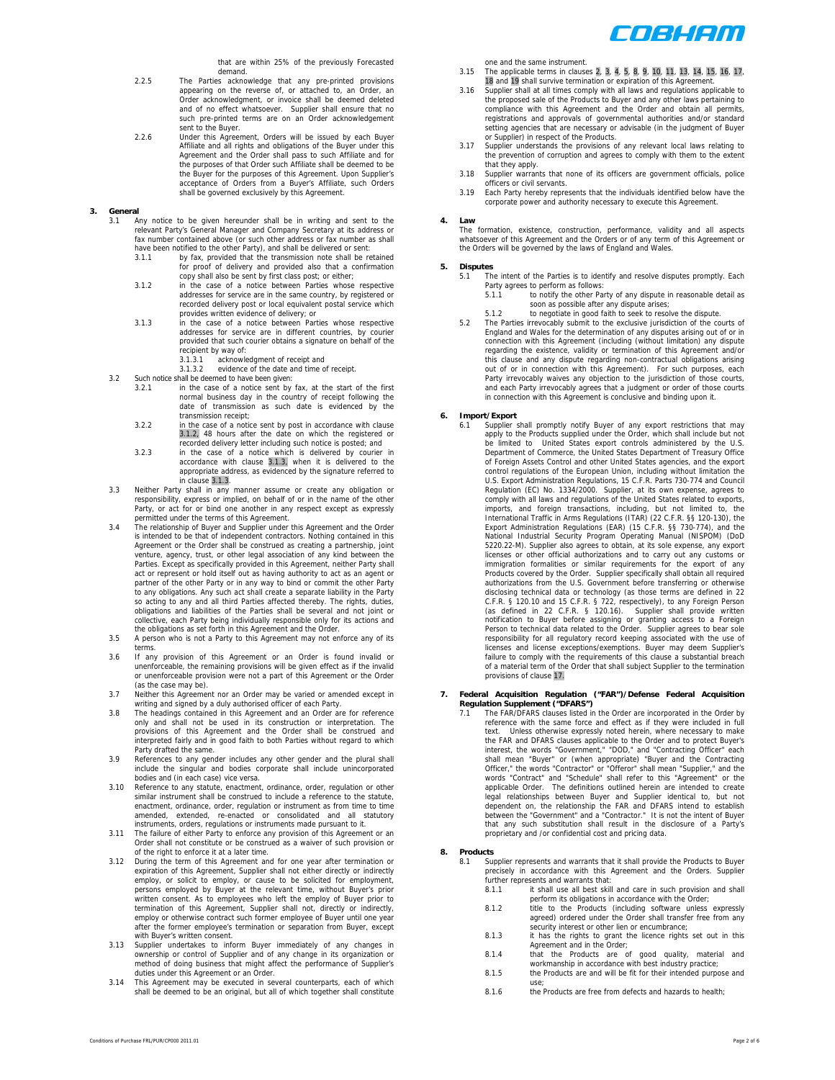

that are within 25% of the previously Forecasted demand.

- 2.2.5 The Parties acknowledge that any pre-printed provisions appearing on the reverse of, or attached to, an Order, an Order acknowledgment, or invoice shall be deemed deleted and of no effect whatsoever. Supplier shall ensure that no such pre-printed terms are on an Order acknowledgement sent to the Buyer.
- 2.2.6 Under this Agreement, Orders will be issued by each Buyer Affiliate and all rights and obligations of the Buyer under this Agreement and the Order shall pass to such Affiliate and for the purposes of that Order such Affiliate shall be deemed to be the Buyer for the purposes of this Agreement. Upon Supplier's acceptance of Orders from a Buyer's Affiliate, such Orders shall be governed exclusively by this Agreement.
- **3. General** 
	- 3.1 Any notice to be given hereunder shall be in writing and sent to the relevant Party's General Manager and Company Secretary at its address or fax number contained above (or such other address or fax number as shall have been notified to the other Party), and shall be delivered or sent:
		- 3.1.1 by fax, provided that the transmission note shall be retained for proof of delivery and provided also that a confirmation
		- copy shall also be sent by first class post; or either; 3.1.2 in the case of a notice between Parties whose respective addresses for service are in the same country, by registered or recorded delivery post or local equivalent postal service which provides written evidence of delivery; or
		- 3.1.3 in the case of a notice between Parties whose respective addresses for service are in different countries, by courier provided that such courier obtains a signature on behalf of the recipient by way of:
			- 3.1.3.1 acknowledgment of receipt and
	- 3.1.3.2 evidence of the date and time of receipt. 3.2 Such notice shall be deemed to have been given:
		- 3.2.1 in the case of a notice sent by fax, at the start of the first normal business day in the country of receipt following the date of transmission as such date is evidenced by the transmission receipt;
		- 3.2.2 in the case of a notice sent by post in accordance with clause 3.1.2, 48 hours after the date on which the registered or recorded delivery letter including such notice is posted; and
		- 3.2.3 in the case of a notice which is delivered by courier in accordance with clause 3.1.3, when it is delivered to the appropriate address, as evidenced by the signature referred to in clause 3.1.3.
	- 3.3 Neither Party shall in any manner assume or create any obligation or responsibility, express or implied, on behalf of or in the name of the other Party, or act for or bind one another in any respect except as expressly permitted under the terms of this Agreement.
	- 3.4 The relationship of Buyer and Supplier under this Agreement and the Order is intended to be that of independent contractors. Nothing contained in this Agreement or the Order shall be construed as creating a partnership, joint venture, agency, trust, or other legal association of any kind between the Parties. Except as specifically provided in this Agreement, neither Party shall act or represent or hold itself out as having authority to act as an agent or partner of the other Party or in any way to bind or commit the other Party to any obligations. Any such act shall create a separate liability in the Party so acting to any and all third Parties affected thereby. The rights, duties, obligations and liabilities of the Parties shall be several and not joint or collective, each Party being individually responsible only for its actions and the obligations as set forth in this Agreement and the Order.
	- 3.5 A person who is not a Party to this Agreement may not enforce any of its terms.
	- 3.6 If any provision of this Agreement or an Order is found invalid or unenforceable, the remaining provisions will be given effect as if the invalid or unenforceable provision were not a part of this Agreement or the Order (as the case may be).
	- 3.7 Neither this Agreement nor an Order may be varied or amended except in writing and signed by a duly authorised officer of each Party.
	- 3.8 The headings contained in this Agreement and an Order are for reference only and shall not be used in its construction or interpretation. The provisions of this Agreement and the Order shall be construed and interpreted fairly and in good faith to both Parties without regard to which Party drafted the same.
	- 3.9 References to any gender includes any other gender and the plural shall include the singular and bodies corporate shall include unincorporated bodies and (in each case) vice versa.
	- 3.10 Reference to any statute, enactment, ordinance, order, regulation or other similar instrument shall be construed to include a reference to the statute, enactment, ordinance, order, regulation or instrument as from time to time amended, extended, re-enacted or consolidated and all statutory instruments, orders, regulations or instruments made pursuant to it.
	- 3.11 The failure of either Party to enforce any provision of this Agreement or an Order shall not constitute or be construed as a waiver of such provision or of the right to enforce it at a later time.
	- 3.12 During the term of this Agreement and for one year after termination or expiration of this Agreement, Supplier shall not either directly or indirectly employ, or solicit to employ, or cause to be solicited for employment, persons employed by Buyer at the relevant time, without Buyer's prior written consent. As to employees who left the employ of Buyer prior to termination of this Agreement, Supplier shall not, directly or indirectly, employ or otherwise contract such former employee of Buyer until one year after the former employee's termination or separation from Buyer, except with Buyer's written consent.
	- 3.13 Supplier undertakes to inform Buyer immediately of any changes in ownership or control of Supplier and of any change in its organization or method of doing business that might affect the performance of Supplier's duties under this Agreement or an Order.
	- 3.14 This Agreement may be executed in several counterparts, each of which shall be deemed to be an original, but all of which together shall constitute

one and the same instrument.

- 3.15 The applicable terms in clauses 2, 3, 4, 5, 8, 9, 10, 11, 13, 14, 15, 16, 17,
- 18 and 19 shall survive termination or expiration of this Agreement. 3.16 Supplier shall at all times comply with all laws and regulations applicable to the proposed sale of the Products to Buyer and any other laws pertaining to compliance with this Agreement and the Order and obtain all permits, registrations and approvals of governmental authorities and/or standard setting agencies that are necessary or advisable (in the judgment of Buyer or Supplier) in respect of the Products.
- 3.17 Supplier understands the provisions of any relevant local laws relating to the prevention of corruption and agrees to comply with them to the extent that they apply.
- 3.18 Supplier warrants that none of its officers are government officials, police officers or civil servants.
- 3.19 Each Party hereby represents that the individuals identified below have the corporate power and authority necessary to execute this Agreement.

# **4. Law**

The formation, existence, construction, performance, validity and all aspects whatsoever of this Agreement and the Orders or of any term of this Agreement or the Orders will be governed by the laws of England and Wales.

# **5. Disputes**

- The intent of the Parties is to identify and resolve disputes promptly. Each Party agrees to perform as follows:
	- to notify the other Party of any dispute in reasonable detail as soon as possible after any dispute arises;<br>5.1.2 to negotiate in good faith to seek to resolve the dispute.
- 
- 5.2 The Parties irrevocably submit to the exclusive jurisdiction of the courts of England and Wales for the determination of any disputes arising out of or in connection with this Agreement (including (without limitation) any dispute regarding the existence, validity or termination of this Agreement and/or this clause and any dispute regarding non-contractual obligations arising out of or in connection with this Agreement). For such purposes, each Party irrevocably waives any objection to the jurisdiction of those courts, and each Party irrevocably agrees that a judgment or order of those courts in connection with this Agreement is conclusive and binding upon it.

### **6. Import/Export**

Supplier shall promptly notify Buyer of any export restrictions that may apply to the Products supplied under the Order, which shall include but not be limited to United States export controls administered by the U.S. Department of Commerce, the United States Department of Treasury Office of Foreign Assets Control and other United States agencies, and the export control regulations of the European Union, including without limitation the U.S. Export Administration Regulations, 15 C.F.R. Parts 730-774 and Council Regulation (EC) No. 1334/2000. Supplier, at its own expense, agrees to comply with all laws and regulations of the United States related to exports, imports, and foreign transactions, including, but not limited to, the International Traffic in Arms Regulations (ITAR) (22 C.F.R. §§ 120-130), the Export Administration Regulations (EAR) (15 C.F.R. §§ 730-774), and the National Industrial Security Program Operating Manual (NISPOM) (DoD 5220.22-M). Supplier also agrees to obtain, at its sole expense, any export licenses or other official authorizations and to carry out any customs or immigration formalities or similar requirements for the export of any Products covered by the Order. Supplier specifically shall obtain all required authorizations from the U.S. Government before transferring or otherwise disclosing technical data or technology (as those terms are defined in 22 C.F.R. § 120.10 and 15 C.F.R. § 722, respectively), to any Foreign Person (as defined in 22 C.F.R. § 722, respectively), to any Foreign Person notif responsibility for all regulatory record keeping associated with the use of licenses and license exceptions/exemptions. Buyer may deem Supplier's failure to comply with the requirements of this clause a substantial breach of a material term of the Order that shall subject Supplier to the termination provisions of clause 17.

# **7. Federal Acquisition Regulation ("FAR")/Defense Federal Acquisition Regulation Supplement ("DFARS")**  7.1 The FAR/DFARS clauses listed in the Order are incorporated in the Order by

reference with the same force and effect as if they were included in full text. Unless otherwise expressly noted herein, where necessary to make the FAR and DFARS clauses applicable to the Order and to protect Buyer's<br>interest, the words "Government," "DOD," and "Contracting Officer" each<br>shall mean "Buyer" or (when appropriate) "Buyer and the Contracting<br>Officer," applicable Order. The definitions outlined herein are intended to create legal relationships between Buyer and Supplier identical to, but not dependent on, the relationship the FAR and DFARS intend to establish between the proprietary and /or confidential cost and pricing data.

# **8. Products**

8.1 Supplier represents and warrants that it shall provide the Products to Buyer precisely in accordance with this Agreement and the Orders. Supplier further represents and warrants that:<br>8.1.1 it shall use all best skill

- 8.1.1 it shall use all best skill and care in such provision and shall perform its obligations in accordance with the Order;
- 8.1.2 title to the Products (including software unless expressly agreed) ordered under the Order shall transfer free from any security interest or other lien or encumbrance;
- 8.1.3 it has the rights to grant the licence rights set out in this Agreement and in the Order; 8.1.4 that the Products are of good quality, material and
- workmanship in accordance with best industry practice;<br>8.1.5 the Products are and will be fit for their intended purpose and
- use; 8.1.6 the Products are free from defects and hazards to health;
-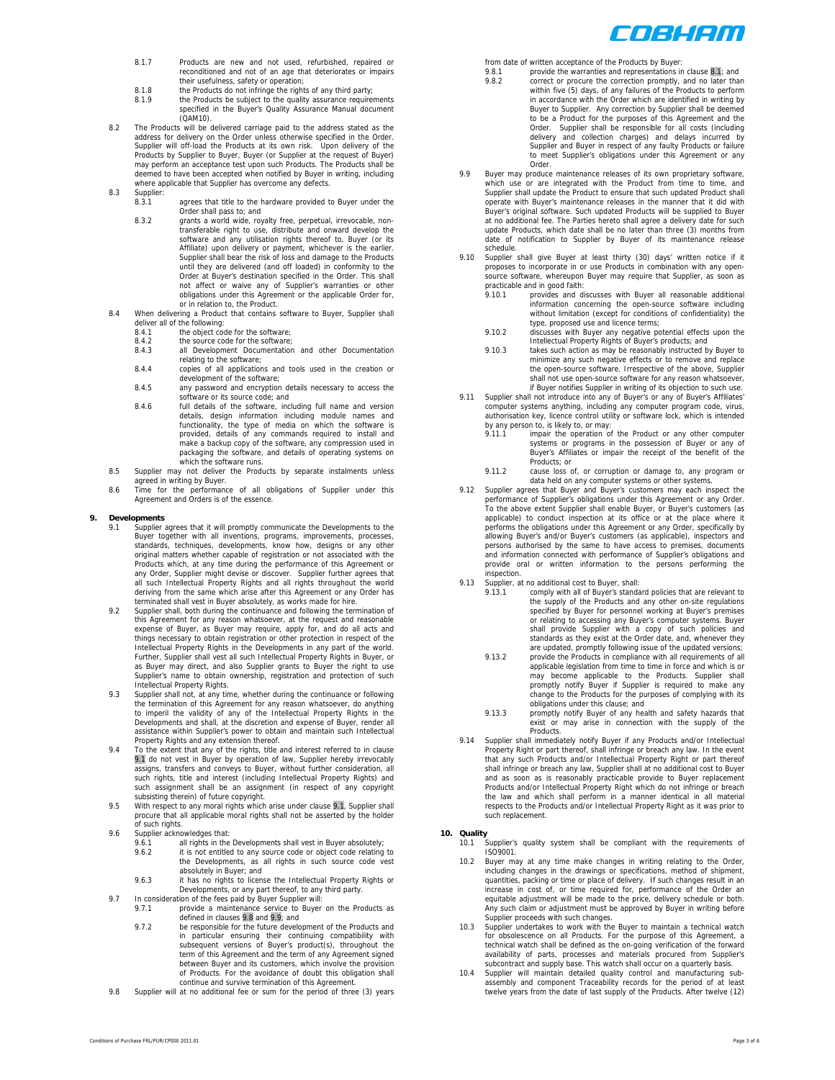

- 8.1.7 Products are new and not used, refurbished, repaired or reconditioned and not of an age that deteriorates or impairs
- their usefulness, safety or operation;<br>8.1.8 the Products do not infringe the rights of any third party;
- 8.1.9 the Products be subject to the quality assurance requirements specified in the Buyer's Quality Assurance Manual document (QAM10).
- 8.2 The Products will be delivered carriage paid to the address stated as the address for delivery on the Order unless otherwise specified in the Order. Supplier will off-load the Products at its own risk. Upon delivery of the Products by Supplier to Buyer, Buyer (or Supplier at the request of Buyer) may perform an acceptance test upon such Products. The Products shall be deemed to have been accepted when notified by Buyer in writing, including where applicable that Supplier has overcome any defects.
- 8.3 Supplier:<br>8.3.1
	- agrees that title to the hardware provided to Buyer under the Order shall pass to; and 8.3.2 grants a world wide, royalty free, perpetual, irrevocable, non-
	- transferable right to use, distribute and onward develop the software and any utilisation rights thereof to, Buyer (or its Affiliate) upon delivery or payment, whichever is the earlier. Supplier shall bear the risk of loss and damage to the Products until they are delivered (and off loaded) in conformity to the Order at Buyer's destination specified in the Order. This shall not affect or waive any of Supplier's warranties or other obligations under this Agreement or the applicable Order for, or in relation to, the Product.
- 8.4 When delivering a Product that contains software to Buyer, Supplier shall deliver all of the following:<br>8.4.1 the object code for the software;
	-
	- 8.4.2 the source code for the software;
	- 8.4.3 all Development Documentation and other Documentation relating to the software;
	- 8.4.4 copies of all applications and tools used in the creation or development of the software;
	- 8.4.5 any password and encryption details necessary to access the software or its source code; and
	- 8.4.6 full details of the software, including full name and version details, design information including module names and functionality, the type of media on which the software is provided, details of any commands required to install and make a backup copy of the software, any compression used in packaging the software, and details of operating systems on which the software runs.
- 8.5 Supplier may not deliver the Products by separate instalments unless agreed in writing by Buyer.
- 8.6 Time for the performance of all obligations of Supplier under this Agreement and Orders is of the essence.

# **9. Developments**

- Supplier agrees that it will promptly communicate the Developments to the Buyer together with all inventions, programs, improvements, processes, standards, techniques, developments, know how, designs or any other original matters whether capable of registration or not associated with the Products which, at any time during the performance of this Agreement or any Order, Supplier might devise or discover. Supplier further agrees that all such Intellectual Property Rights and all rights throughout the world deriving from the same which arise after this Agreement or any Order has terminated shall vest in Buyer absolutely, as works made for hire.
- 9.2 Supplier shall, both during the continuance and following the termination of this Agreement for any reason whatsoever, at the request and reasonable expense of Buyer, as Buyer may require, apply for, and do all acts and things necessary to obtain registration or other protection in respect of the Intellectual Property Rights in the Developments in any part of the world. Further, Supplier shall vest all such Intellectual Property Rights in Buyer, or as Buyer may direct, and also Supplier grants to Buyer the right to use Supplier's name to obtain ownership, registration and protection of such Intellectual Property Rights. 9.3 Supplier shall not, at any time, whether during the continuance or following
- the termination of this Agreement for any reason whatsoever, do anything to imperil the validity of any of the Intellectual Property Rights in the Developments and shall, at the discretion and expense of Buyer, render all assistance within Supplier's power to obtain and maintain such Intellectual Property Rights and any extension thereof.
- 9.4 To the extent that any of the rights, title and interest referred to in clause 9.1 do not vest in Buyer by operation of law, Supplier hereby irrevocably<br>assigns, transfers and conveys to Buyer, without further consideration, all<br>such rights, title and interest (including Intellectual Property Rights) such assignment shall be an assignment (in respect of any copyright
- subsisting therein) of future copyright. 9.5 With respect to any moral rights which arise under clause 9.1, Supplier shall procure that all applicable moral rights shall not be asserted by the holder of such rights.
- 9.6 Supplier acknowledges that:<br>9.6.1 all rights in the
	- 9.6.1 all rights in the Developments shall vest in Buyer absolutely;<br>9.6.2 it is not entitled to any source code or object code relating it is not entitled to any source code or object code relating to the Developments, as all rights in such source code vest absolutely in Buyer; and
	- 9.6.3 it has no rights to license the Intellectual Property Rights or Developments, or any part thereof, to any third party.
- 9.7 In consideration of the fees paid by Buyer Supplier will: 9.7.1 provide a maintenance service to Buyer on the Products as
	- defined in clauses 9.8 and 9.9; and 9.7.2 be responsible for the future development of the Products and in particular ensuring their continuing compatibility with subsequent versions of Buyer's product(s), throughout the term of this Agreement and the term of any Agreement signed between Buyer and its customers, which involve the provision of Products. For the avoidance of doubt this obligation shall continue and survive termination of this Agreement.
- 9.8 Supplier will at no additional fee or sum for the period of three (3) years

from date of written acceptance of the Products by Buyer:<br>9.8.1 provide the warranties and representations in clause 8.1; and

- 9.8.2 correct or procure the correction promptly, and no later than within five (5) days, of any failures of the Products to perform in accordance with the Order which are identified in writing by Buyer to Supplier. Any correction by Supplier shall be deemed to be a Product for the purposes of this Agreement and the Order. Supplier shall be responsible for all costs (including delivery and collection charges) and delays incurred by Supplier and Buyer in respect of any faulty Products or failure to meet Supplier's obligations under this Agreement or any Order.
- 9.9 Buyer may produce maintenance releases of its own proprietary software, which use or are integrated with the Product from time to time, and Supplier shall update the Product to ensure that such updated Product shall operate with Buyer's maintenance releases in the manner that it did with Buyer's original software. Such updated Products will be supplied to Buyer at no additional fee. The Parties hereto shall agree a delivery date for such update Products, which date shall be no later than three (3) months from date of notification to Supplier by Buyer of its maintenance release schedule.
- 9.10 Supplier shall give Buyer at least thirty (30) days' written notice if it proposes to incorporate in or use Products in combination with any opensource software, whereupon Buyer may require that Supplier, as soon as practicable and in good faith:<br>9.10.1 provides and di
	- provides and discusses with Buyer all reasonable additional information concerning the open-source software including without limitation (except for conditions of confidentiality) the type, proposed use and licence terms;
	- 9.10.2 discusses with Buyer any negative potential effects upon the Intellectual Property Rights of Buyer's products; and
	- 9.10.3 takes such action as may be reasonably instructed by Buyer to minimize any such negative effects or to remove and replace the open-source software. Irrespective of the above, Supplier shall not use open-source software for any reason whatsoever,
- if Buyer notifies Supplier in writing of its objection to such use. 9.11 Supplier shall not introduce into any of Buyer's or any of Buyer's Affiliates' computer systems anything, including any computer program code, virus, authorisation key, licence control utility or software lock, which is intended
	- by any person to, is likely to, or may:<br>9.11.1 impair the operation of the Product or any other computer<br>systems or programs in the possession of Buyer or any of Buyer's Affiliates or impair the receipt of the benefit of the Products; or
- 9.11.2 cause loss of, or corruption or damage to, any program or data held on any computer systems or other systems. 9.12 Supplier agrees that Buyer and Buyer's customers may each inspect the
- performance of Supplier's obligations under this Agreement or any Order. To the above extent Supplier shall enable Buyer, or Buyer's customers (as applicable) to conduct inspection at its office or at the place where it performs the obligations under this Agreement or any Order, specifically by allowing Buyer's and/or Buyer's customers (as applicable), inspectors and persons authorised by the same to have access to premises, documents and information connected with performance of Supplier's obligations and provide oral or written information to the persons performing the inspection.
- 9.13 Supplier, at no additional cost to Buyer, shall:<br>9.13.1 comply with all of Buyer's stands
	- 9.13.1 comply with all of Buyer's standard policies that are relevant to the supply of the Products and any other on-site regulations specified by Buyer for personnel working at Buyer's premises or relating to accessing any Buyer's computer systems. Buyer shall provide Supplier with a copy of such policies and standards as they exist at the Order date, and, whenever they are updated, promptly following issue of the updated versions;
	- 9.13.2 provide the Products in compliance with all requirements of all applicable legislation from time to time in force and which is or may become applicable to the Products. Supplier shall promptly notify Buyer if Supplier is required to make any change to the Products for the purposes of complying with its obligations under this clause; and
	- 9.13.3 promptly notify Buyer of any health and safety hazards that exist or may arise in connection with the supply of the Products.
- 9.14 Supplier shall immediately notify Buyer if any Products and/or Intellectual Property Right or part thereof, shall infringe or breach any law. In the event that any such Products and/or Intellectual Property Right or part thereof shall infringe or breach any law, Supplier shall at no additional cost to Buyer and as soon as is reasonably practicable provide to Buyer replacement Products and/or Intellectual Property Right which do not infringe or breach the law and which shall perform in a manner identical in all material respects to the Products and/or Intellectual Property Right as it was prior to such replacement.

- **10. Quality**<br>10.1 Supplier's quality system shall be compliant with the requirements of<br>ISO9001.
	- 10.2 Buyer may at any time make changes in writing relating to the Order, including changes in the drawings or specifications, method of shipment, quantities, packing or time or place of delivery. If such changes result in an increase in cost of, or time required for, performance of the Order an equitable adjustment will be made to the price, delivery schedule or both. Any such claim or adjustment must be approved by Buyer in writing before Supplier proceeds with such changes.
	- 10.3 Supplier undertakes to work with the Buyer to maintain a technical watch for obsolescence on all Products. For the purpose of this Agreement, a technical watch shall be defined as the on-going verification of the forward availability of parts, processes and materials procured from Supplier's subcontract and supply base. This watch shall occur on a quarterly basis.
	- 10.4 Supplier will maintain detailed quality control and manufacturing subassembly and component Traceability records for the period of at least twelve years from the date of last supply of the Products. After twelve (12)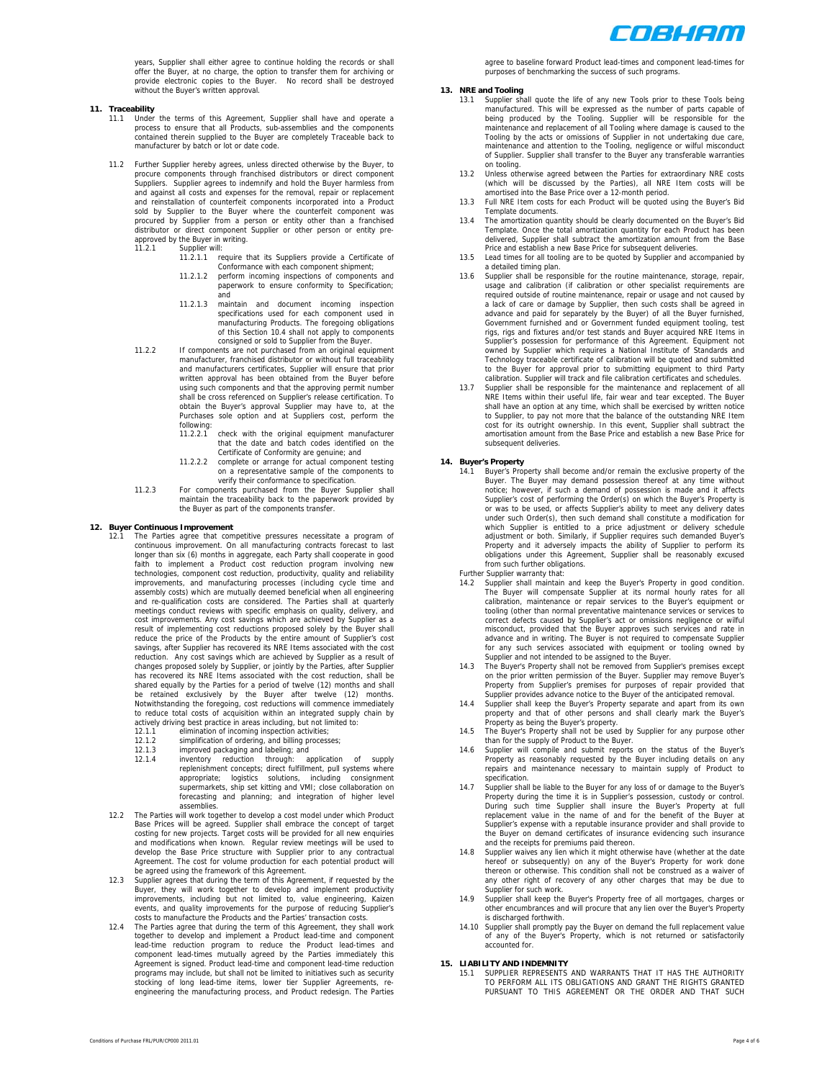

years, Supplier shall either agree to continue holding the records or shall offer the Buyer, at no charge, the option to transfer them for archiving or provide electronic copies to the Buyer. No record shall be destroyed without the Buyer's written approval.

## **11. Traceability**

- 11.1 Under the terms of this Agreement, Supplier shall have and operate a process to ensure that all Products, sub-assemblies and the components contained therein supplied to the Buyer are completely Traceable back to manufacturer by batch or lot or date code.
- 11.2 Further Supplier hereby agrees, unless directed otherwise by the Buyer, to procure components through franchised distributors or direct component Suppliers. Supplier agrees to indemnify and hold the Buyer harmless from and against all costs and expenses for the removal, repair or replacement and reinstallation of counterfeit components incorporated into a Product sold by Supplier to the Buyer where the counterfeit component was procured by Supplier from a person or entity other than a franchised distributor or direct component Supplier or other person or entity preapproved by the Buyer in writing. 11.2.1 Supplier will:
	- - 11.2.1.1 require that its Suppliers provide a Certificate of Conformance with each component shipment;
		- 11.2.1.2 perform incoming inspections of components and paperwork to ensure conformity to Specification; and
		- 11.2.1.3 maintain and document incoming inspection specifications used for each component used in manufacturing Products. The foregoing obligations of this Section 10.4 shall not apply to components consigned or sold to Supplier from the Buyer.
	- 11.2.2 If components are not purchased from an original equipment manufacturer, franchised distributor or without full traceability and manufacturers certificates, Supplier will ensure that prior written approval has been obtained from the Buyer before using such components and that the approving permit number shall be cross referenced on Supplier's release certification. To obtain the Buyer's approval Supplier may have to, at the Purchases sole option and at Suppliers cost, perform the following:<br>11 2 2 1
		- 11.2.2.1 check with the original equipment manufacturer that the date and batch codes identified on the Certificate of Conformity are genuine; and
		- 11.2.2.2 complete or arrange for actual component testing on a representative sample of the components to
	- verify their conformance to specification.<br>11.2.3 For components purchased from the Buyer Supplier shall maintain the traceability back to the paperwork provided by the Buyer as part of the components transfer.

### **12. Buyer Continuous Improvement**

- The Parties agree that competitive pressures necessitate a program of continuous improvement. On all manufacturing contracts forecast to last longer than six (6) months in aggregate, each Party shall cooperate in good faith to implement a Product cost reduction program involving new technologies, component cost reduction, productivity, quality and reliability improvements, and manufacturing processes (including cycle time and assembly costs) which are mutually deemed beneficial when all engineering and re-qualification costs are considered. The Parties shall at quarterly meetings conduct reviews with specific emphasis on quality, delivery, and cost improvements. Any cost savings which are achieved by Supplier as a result of implementing cost reductions proposed solely by the Buyer shall reduce the price of the Products by the entire amount of Supplier's cost savings, after Supplier has recovered its NRE Items associated with the cost reduction. Any cost savings which are achieved by Supplier as a result of changes proposed solely by Supplier, or jointly by the Parties, after Supplier has recovered its NRE Items associated with the cost reduction, shall be shared equally by the Parties for a period of twelve (12) months and shall be retained exclusively by the Buyer after twelve (12) months. Notwithstanding the foregoing, cost reductions will commence immediately to reduce total costs of acquisition within an integrated supply chain by actively driving best practice in areas including, but not limited to: 12.1.1 elimination of incoming inspection activities;
	-
	- 12.1.2 simplification of ordering, and billing processes;
	- 12.1.3 improved packaging and labeling; and<br>12.1.4 inventory reduction through: a
	- 12.1.4 inventory reduction through: application of supply<br>replenishment concepts; direct fulfillment, pull systems where<br>appropriate; logistics solutions, including consignment<br>supermarkets, ship set kitting and VMI; close forecasting and planning; and integration of higher level assemblies.
	- 12.2 The Parties will work together to develop a cost model under which Product Base Prices will be agreed. Supplier shall embrace the concept of target costing for new projects. Target costs will be provided for all new enquiries and modifications when known. Regular review meetings will be used to develop the Base Price structure with Supplier prior to any contractual Agreement. The cost for volume production for each potential product will be agreed using the framework of this Agreement.
	- 12.3 Supplier agrees that during the term of this Agreement, if requested by the Buyer, they will work together to develop and implement productivity improvements, including but not limited to, value engineering, Kaizen events, and quality improvements for the purpose of reducing Supplier's costs to manufacture the Products and the Parties' transaction costs.
	- 12.4 The Parties agree that during the term of this Agreement, they shall work together to develop and implement a Product lead-time and component lead-time reduction program to reduce the Product lead-times and component lead-times mutually agreed by the Parties immediately this Agreement is signed. Product lead-time and component lead-time reduction programs may include, but shall not be limited to initiatives such as security stocking of long lead-time items, lower tier Supplier Agreements, reengineering the manufacturing process, and Product redesign. The Parties
- For the Separate FRL/PUR/CP000 2011.01 Page 4 of 6

agree to baseline forward Product lead-times and component lead-times for purposes of benchmarking the success of such programs.

# **13. NRE and Tooling**

- 13.1 Supplier shall quote the life of any new Tools prior to these Tools being manufactured. This will be expressed as the number of parts capable of being produced by the Tooling. Supplier will be responsible for the maintenance and replacement of all Tooling where damage is caused to the Tooling by the acts or omissions of Supplier in not undertaking due care, maintenance and attention to the Tooling, negligence or wilful misconduct of Supplier. Supplier shall transfer to the Buyer any transferable warranties on tooling.
- 13.2 Unless otherwise agreed between the Parties for extraordinary NRE costs (which will be discussed by the Parties), all NRE Item costs will be amortised into the Base Price over a 12-month period.
- 13.3 Full NRE Item costs for each Product will be quoted using the Buyer's Bid Template documents.
- 13.4 The amortization quantity should be clearly documented on the Buyer's Bid Template. Once the total amortization quantity for each Product has been delivered, Supplier shall subtract the amortization amount from the Base Price and establish a new Base Price for subsequent deliveries.
- 13.5 Lead times for all tooling are to be quoted by Supplier and accomp a detailed timing plan.
- 13.6 Supplier shall be responsible for the routine maintenance, storage, repair usage and calibration (if calibration or other specialist requirements are required outside of routine maintenance, repair or usage and not caused by a lack of care or damage by Supplier, then such costs shall be agreed in advance and paid for separately by the Buyer) of all the Buyer furnished, Government furnished and or Government funded equipment tooling, test rigs, rigs and fixtures and/or test stands and Buyer acquired NRE Items in Supplier's possession for performance of this Agreement. Equipment not owned by Supplier which requires a National Institute of Standards and Technology traceable certificate of calibration will be quoted and submitted to the Buyer for approval prior to submitting equipment to third Party calibration. Supplier will track and file calibration certificates and schedules.
- 13.7 Supplier shall be responsible for the maintenance and replacement of all NRE Items within their useful life, fair wear and tear excepted. The Buyer shall have an option at any time, which shall be exercised by written notice to Supplier, to pay not more that the balance of the outstanding NRE Item cost for its outright ownership. In this event, Supplier shall subtract the amortisation amount from the Base Price and establish a new Base Price for subsequent deliveries

- **14. Buyer's Property**  14.1 Buyer's Property shall become and/or remain the exclusive property of the Buyer. The Buyer may demand possession thereof at any time without notice; however, if such a demand of possession is made and it affects Supplier's cost of performing the Order(s) on which the Buyer's Property is or was to be used, or affects Supplier's ability to meet any delivery dates under such Order(s), then such demand shall constitute a modification for which Supplier is entitled to a price adjustment or delivery schedule<br>adjustment or both. Similarly, if Supplier requires such demanded Buyer's<br>Property and it adversely impacts the ability of Supplier to perform its<br>oblig from such further obligations.
	- Further Supplier warranty that:
	- Supplier shall maintain and keep the Buyer's Property in good condition. The Buyer will compensate Supplier at its normal hourly rates for all calibration, maintenance or repair services to the Buyer's equipment or tooling (other than normal preventative maintenance services or services to correct defects caused by Supplier's act or omissions negligence or wilful misconduct, provided that the Buyer approves such services and rate in advance and in writing. The Buyer is not required to compensate Supplier for any such services associated with equipment or tooling owned by
	- Supplier and not intended to be assigned to the Buyer. 14.3 The Buyer's Property shall not be removed from Supplier's premises except on the prior written permission of the Buyer. Supplier may remove Buyer's Property from Supplier's premises for purposes of repair provided that Supplier provides advance notice to the Buyer of the anticipated removal.
	- 14.4 Supplier shall keep the Buyer's Property separate and apart from its own property and that of other persons and shall clearly mark the Buyer's Property as being the Buyer's property. 14.5 The Buyer's Property shall not be used by Supplier for any purpose other
	- than for the supply of Product to the Buyer.
	- 14.6 Supplier will compile and submit reports on the status of the Buyer's Property as reasonably requested by the Buyer including details on any repairs and maintenance necessary to maintain supply of Product to specification.
	- 14.7 Supplier shall be liable to the Buyer for any loss of or damage to the Buyer's Property during the time it is in Supplier's possession, custody or control. During such time Supplier shall insure the Buyer's Property at full replacement value in the name of and for the benefit of the Buyer at Supplier's expense with a reputable insurance provider and shall provide to the Buyer on demand certificates of insurance evidencing such insurance and the receipts for premiums paid thereon.
	- 14.8 Supplier waives any lien which it might otherwise have (whether at the date hereof or subsequently) on any of the Buyer's Property for work done thereon or otherwise. This condition shall not be construed as a waiver of any other right of recovery of any other charges that may be due to Supplier for such work.
	- Supplier shall keep the Buyer's Property free of all mortgages, charges or other encumbrances and will procure that any lien over the Buyer's Property is discharged forthwith.
	- 14.10 Supplier shall promptly pay the Buyer on demand the full replacement value of any of the Buyer's Property, which is not returned or satisfactorily accounted for.

### **15. LIABILITY AND INDEMNITY**

15.1 SUPPLIER REPRESENTS AND WARRANTS THAT IT HAS THE AUTHORITY TO PERFORM ALL ITS OBLIGATIONS AND GRANT THE RIGHTS GRANTED PURSUANT TO THIS AGREEMENT OR THE ORDER AND THAT SUCH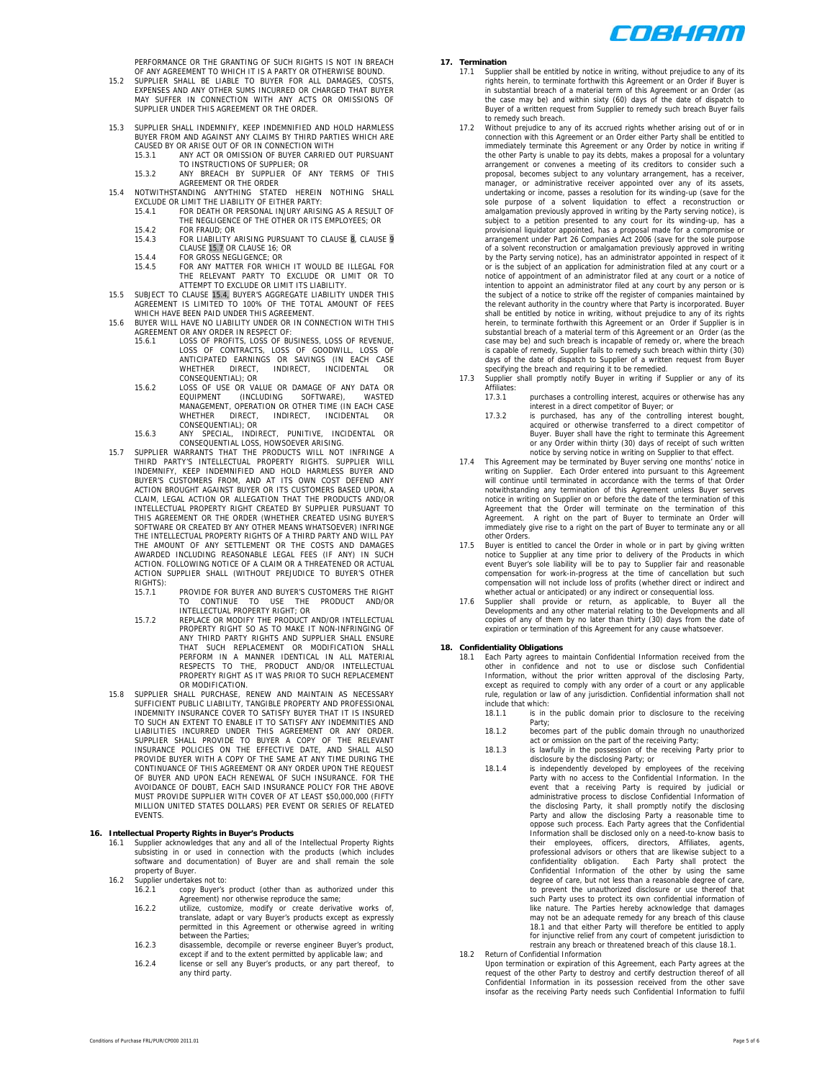

PERFORMANCE OR THE GRANTING OF SUCH RIGHTS IS NOT IN BREACH OF ANY AGREEMENT TO WHICH IT IS A PARTY OR OTHERWISE BOUND.

- 15.2 SUPPLIER SHALL BE LIABLE TO BUYER FOR ALL DAMAGES, COSTS, EXPENSES AND ANY OTHER SUMS INCURRED OR CHARGED THAT BUYER MAY SUFFER IN CONNECTION WITH ANY ACTS OR OMISSIONS OF SUPPLIER UNDER THIS AGREEMENT OR THE ORDER.
- 15.3 SUPPLIER SHALL INDEMNIFY, KEEP INDEMNIFIED AND HOLD HARMLESS BUYER FROM AND AGAINST ANY CLAIMS BY THIRD PARTIES WHICH ARE<br>CAUSED BY OR ARISE OUT OF OR IN CONNECTION WITH<br>15.3.1 ANY ACT OR OMISSION OF BUYER CARRIED OUT PURSUANT
	-
- TO INSTRUCTIONS OF SUPPLIER; OR 15.3.2 ANY BREACH BY SUPPLIER OF ANY TERMS OF THIS AGREEMENT OR THE ORDER 15.4 NOTWITHSTANDING ANYTHING STATED HEREIN NOTHING SHALL EXCLUDE OR LIMIT THE LIABILITY OF EITHER PARTY:
	- 15.4.1 FOR DEATH OR PERSONAL INJURY ARISING AS A RESULT OF THE NEGLIGENCE OF THE OTHER OR ITS EMPLOYEES; OR
		- 15.4.2 FOR FRAUD; OR
		- 15.4.2 FOR LIABILITY ARISING PURSUANT TO CLAUSE 8, CLAUSE 9 CLAUSE 15.7 OR CLAUSE 16; OR
		-
		- 15.4.4 FOR GROSS NEGLIGENCE; OR 15.4.5 FOR ANY MATTER FOR WHICH IT WOULD BE ILLEGAL FOR THE RELEVANT PARTY TO EXCLUDE OR LIMIT OR TO ATTEMPT TO EXCLUDE OR LIMIT ITS LIABILITY.
- 15.5 SUBJECT TO CLAUSE 15.4, BUYER'S AGGREGATE LIABILITY UNDER THIS AGREEMENT IS LIMITED TO 100% OF THE TOTAL AMOUNT OF FEES WHICH HAVE BEEN PAID UNDER THIS AGREEMENT.
- 15.6 BUYER WILL HAVE NO LIABILITY UNDER OR IN CONNECTION WITH THIS AGREEMENT OR ANY ORDER IN RESPECT OF:
	- 15.6.1 LOSS OF PROFITS, LOSS OF BUSINESS, LOSS OF REVENUE, LOSS OF CONTRACTS, LOSS OF GOODWILL, LOSS OF ANTICIPATED EARNINGS OR SAVINGS (IN EACH CASE WHETHER DIRECT, INDIRECT, INCIDENTAL OR CONSEQUENTIAL); OR
	- 15.6.2 LOSS OF USE OR VALUE OR DAMAGE OF ANY DATA OR EQUIPMENT (INCLUDING SOFTWARE), WASTED MANAGEMENT, OPERATION OR OTHER TIME (IN EACH CASE WHETHER DIRECT, INDIRECT, INCIDENTAL OR CONSEQUENTIAL); OR
	- 15.6.3 ANY SPECIAL, INDIRECT, PUNITIVE, INCIDENTAL OR CONSEQUENTIAL LOSS, HOWSOEVER ARISING.
- 15.7 SUPPLIER WARRANTS THAT THE PRODUCTS WILL NOT INFRINGE A<br>THIRD PARTY'S INTELLECTUAL PROPERTY RIGHTS. SUPPLIER WILL<br>INDEMNIFY, KEEP INDEMNIFIED AND HOLD HARMLESS BUYER AND<br>BUYER'S CUSTOMERS FROM, AND AT ITS OWN COST DEF CLAIM, LEGAL ACTION OR ALLEGATION THAT THE PRODUCTS AND/OR INTELLECTUAL PROPERTY RIGHT CREATED BY SUPPLIER PURSUANT TO THIS AGREEMENT OR THE ORDER (WHETHER CREATED USING BUYER'S SOFTWARE OR CREATED BY ANY OTHER MEANS WHATSOEVER) INFRINGE THE INTELLECTUAL PROPERTY RIGHTS OF A THIRD PARTY AND WILL PAY<br>THE AMOUNT OF ANY SETTLEMENT OR THE COSTS AND DAMAGES<br>AVARDED INCLUDING REASONABLE LEGAL FEES (IF ANY) IN SUCH<br>ACTION. FOLLOWING NOTICE OF A CLAIM OR A THREATE RIGHTS)<br>15 7 1
	- PROVIDE FOR BUYER AND BUYER'S CUSTOMERS THE RIGHT TO CONTINUE TO USE THE PRODUCT AND/OR<br>INTELLECTUAL PROPERTY RIGHT; OR<br>15.7.2 REPLACE OR MODIFY THE PRODUCT AND/OR INTELLECTUAL
	- PROPERTY RIGHT SO AS TO MAKE IT NON-INFRINGING OF<br>THAT SUCH REPLACEMENT OR MODIFICATION SHALL<br>THAT SUCH REPLACEMENT OR MODIFICATION SHALL<br>PERFORM IN A MANNER IDENTICAL IN ALL MATERIAL<br>RESPECTS TO THE, PRODUCT AND/OR INTELL PROPERTY RIGHT AS IT WAS PRIOR TO SUCH REPLACEMENT OR MODIFICATION.
- 15.8 SUPPLIER SHALL PURCHASE, RENEW AND MAINTAIN AS NECESSARY SUFFICIENT PUBLIC LIABILITY, TANGIBLE PROPERTY AND PROFESSIONAL INDEMNITY INSURANCE COVER TO SATISFY BUYER THAT IT IS INSURED<br>TO SUCH AN EXTENT TO ENABLE IT TO SATISFY ANY INDEMNITIES AND<br>LIABILITIES INCURRED UNDER THIS AGREEMENT OR ANY ORDER. SUPPLIER SHALL PROVIDE TO BUYER A COPY OF THE RELEVANT<br>INSURANCE POLICIES ON THE EFFECTIVE DATE, AND SHALL ALSO<br>PROVIDE BUYER WITH A COPY OF THE SAME AT ANY TIME DURING THE<br>CONTINUANCE OF THIS AGREEMENT OR ANY ORDER UPON T AVOIDANCE OF DOUBT, EACH SAID INSURANCE POLICY FOR THE ABOVE MUST PROVIDE SUPPLIER WITH COVER OF AT LEAST \$50,000,000 (FIFTY MILLION UNITED STATES DOLLARS) PER EVENT OR SERIES OF RELATED **EVENTS**

- **16. Intellectual Property Rights in Buyer's Products**  16.1 Supplier acknowledges that any and all of the Intellectual Property Rights subsisting in or used in connection with the products (which includes software and documentation) of Buyer are and shall remain the sole property of Buyer.
	- 16.2 Supplier undertakes not to:<br>16.2.1 copy Buyer's
		- 16.2.1 copy Buyer's product (other than as authorized under this Agreement) nor otherwise reproduce the same;
			- 16.2.2 utilize, customize, modify or create derivative works of, translate, adapt or vary Buyer's products except as expressly permitted in this Agreement or otherwise agreed in writing between the Parties;
			- 16.2.3 disassemble, decompile or reverse engineer Buyer's product, except if and to the extent permitted by applicable law; and
			- 16.2.4 license or sell any Buyer's products, or any part thereof, to any third party.

# **17. Termination**

- 17.1 Supplier shall be entitled by notice in writing, without prejudice to any of its rights herein, to terminate forthwith this Agreement or an Order if Buyer is in substantial breach of a material term of this Agreement or an Order (as the case may be) and within sixty (60) days of the date of dispatch to Buyer of a written request from Supplier to remedy such breach Buyer fails to remedy such breach.
- 17.2 Without prejudice to any of its accrued rights whether arising out of or in connection with this Agreement or an Order either Party shall be entitled to immediately terminate this Agreement or any Order by notice in writing if the other Party is unable to pay its debts, makes a proposal for a voluntary arrangement or convenes a meeting of its creditors to consider such a proposal, becomes subject to any voluntary arrangement, has a receiver, manager, or administrative receiver appointed over any of its assets, undertaking or income, passes a resolution for its winding-up (save for the sole purpose of a solvent liquidation to effect a reconstruction or amalgamation previously approved in writing by the Party serving notice), is subject to a petition presented to any court for its winding-up, has a provisional liquidator appointed, has a proposal made for a compromise or arrangement under Part 26 Companies Act 2006 (save for the sole purpose of a solvent reconstruction or amalgamation previously approved in writing by the Party serving notice), has an administrator appointed in respect of it or is the subject of an application for administration filed at any court or a notice of appointment of an administrator filed at any court or a notice of intention to appoint an administrator filed at any court by any person or is the subject of a notice to strike off the register of companies maintained by the relevant authority in the country where that Party is incorporated. Buyer shall be entitled by notice in writing, without prejudice to any of its rights herein, to terminate forthwith this Agreement or an Order if Supplier is in substantial breach of a material term of this Agreement or an Order (as the case may be) and such breach is incapable of remedy or, where the breach is capable of remedy, Supplier fails to remedy such breach within thirty (30) days of the date of dispatch to Supplier of a written request from Buyer
- specifying the breach and requiring it to be remedied. 17.3 Supplier shall promptly notify Buyer in writing if Supplier or any of its Affiliates:
	- 17.3.1 purchases a controlling interest, acquires or otherwise has any interest in a direct competitor of Buyer; or
	- 17.3.2 is purchased, has any of the controlling interest bought, acquired or otherwise transferred to a direct competitor of Buyer. Buyer shall have the right to terminate this Agreement or any Order within thirty (30) days of receipt of such written notice by serving notice in writing on Supplier to that effect.
- 17.4 This Agreement may be terminated by Buyer serving one months' notice in writing on Supplier. Each Order entered into pursuant to this Agreement will continue until terminated in accordance with the terms of that Order notwithstanding any termination of this Agreement unless Buyer serves notice in writing on Supplier on or before the date of the termination of this Agreement that the Order will terminate on the termination of this Agreement. A right on the part of Buyer to terminate an Order will immediately give rise to a right on the part of Buyer to terminate any or all other Orders.
- 17.5 Buyer is entitled to cancel the Order in whole or in part by giving written notice to Supplier at any time prior to delivery of the Products in which event Buyer's sole liability will be to pay to Supplier fair and reasonable compensation for work-in-progress at the time of cancellation but such compensation will not include loss of profits (whether direct or indirect and
- whether actual or anticipated) or any indirect or consequential loss. 17.6 Supplier shall provide or return, as applicable, to Buyer all the Developments and any other material relating to the Developments and all copies of any of them by no later than thirty (30) days from the date of expiration or termination of this Agreement for any cause whatsoever.

# **18. Confidentiality Obligations**

- 18.1 Each Party agrees to maintain Confidential Information received from the other in confidence and not to use or disclose such Confidential Information, without the prior written approval of the disclosing Party, except as required to comply with any order of a court or any applicable rule, regulation or law of any jurisdiction. Confidential information shall not include that which:<br>18.1.1 is in
	- is in the public domain prior to disclosure to the receiving Party;
	- 18.1.2 becomes part of the public domain through no unauthorized
	- act or omission on the part of the receiving Party; 18.1.3 is lawfully in the possession of the receiving Party prior to disclosure by the disclosing Party; or
- 18.1.4 is independently developed by employees of the receiving Party with no access to the Confidential Information. In the event that a receiving Party is required by judicial or administrative process to disclose Confidential Information of the disclosing Party, it shall promptly notify the disclosing Party and allow the disclosing Party a reasonable time to oppose such process. Each Party agrees that the Confidential Information shall be disclosed only on a need-to-know basis to<br>their employees, officers, directors, Affiliates, agents,<br>professional advisors or others that are likewise subject to a<br>confidentiality obligation. Each Party degree of care, but not less than a reasonable degree of care, to prevent the unauthorized disclosure or use thereof that such Party uses to protect its own confidential information of like nature. The Parties hereby acknowledge that damages may not be an adequate remedy for any breach of this clause 18.1 and that either Party will therefore be entitled to apply for injunctive relief from any court of competent jurisdiction to restrain any breach or threatened breach of this clause 18.1. 18.2 Return of Confidential Information
- Upon termination or expiration of this Agreement, each Party agrees at the<br>request of the other Party to destroy and certify destruction thereof of all<br>Confidential Information in its possession received from the other sav